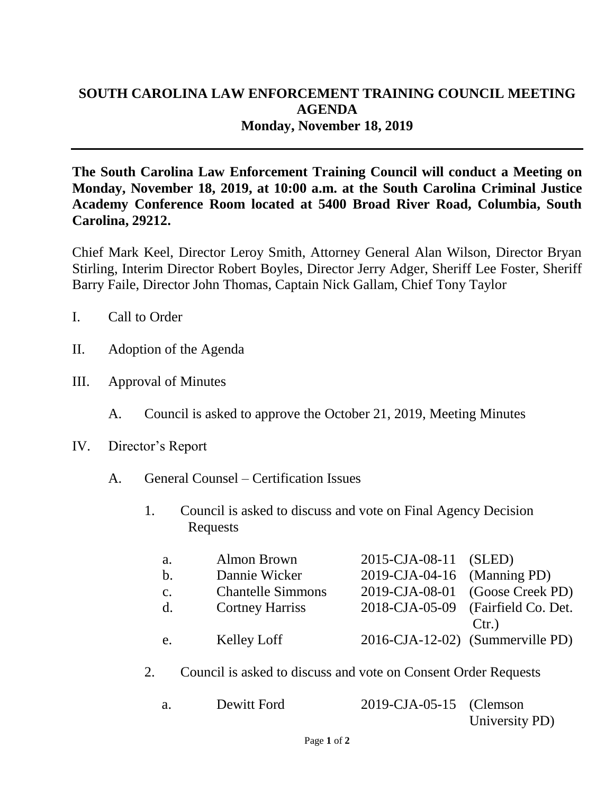## **SOUTH CAROLINA LAW ENFORCEMENT TRAINING COUNCIL MEETING AGENDA Monday, November 18, 2019**

**The South Carolina Law Enforcement Training Council will conduct a Meeting on Monday, November 18, 2019, at 10:00 a.m. at the South Carolina Criminal Justice Academy Conference Room located at 5400 Broad River Road, Columbia, South Carolina, 29212.** 

Chief Mark Keel, Director Leroy Smith, Attorney General Alan Wilson, Director Bryan Stirling, Interim Director Robert Boyles, Director Jerry Adger, Sheriff Lee Foster, Sheriff Barry Faile, Director John Thomas, Captain Nick Gallam, Chief Tony Taylor

- I. Call to Order
- II. Adoption of the Agenda
- III. Approval of Minutes
	- A. Council is asked to approve the October 21, 2019, Meeting Minutes
- IV. Director's Report
	- A. General Counsel Certification Issues
		- 1. Council is asked to discuss and vote on Final Agency Decision Requests

| a.             | Almon Brown              | 2015-CJA-08-11 (SLED)       |                                    |
|----------------|--------------------------|-----------------------------|------------------------------------|
| b.             | Dannie Wicker            | 2019-CJA-04-16 (Manning PD) |                                    |
| $\mathbf{c}$ . | <b>Chantelle Simmons</b> |                             | 2019-CJA-08-01 (Goose Creek PD)    |
| d.             | <b>Cortney Harriss</b>   |                             | 2018-CJA-05-09 (Fairfield Co. Det. |
|                |                          |                             | Ctr.                               |
| e.             | Kelley Loff              |                             | 2016-CJA-12-02) (Summerville PD)   |

2. Council is asked to discuss and vote on Consent Order Requests

| Dewitt Ford | 2019-CJA-05-15 (Clemson |                |
|-------------|-------------------------|----------------|
|             |                         | University PD) |